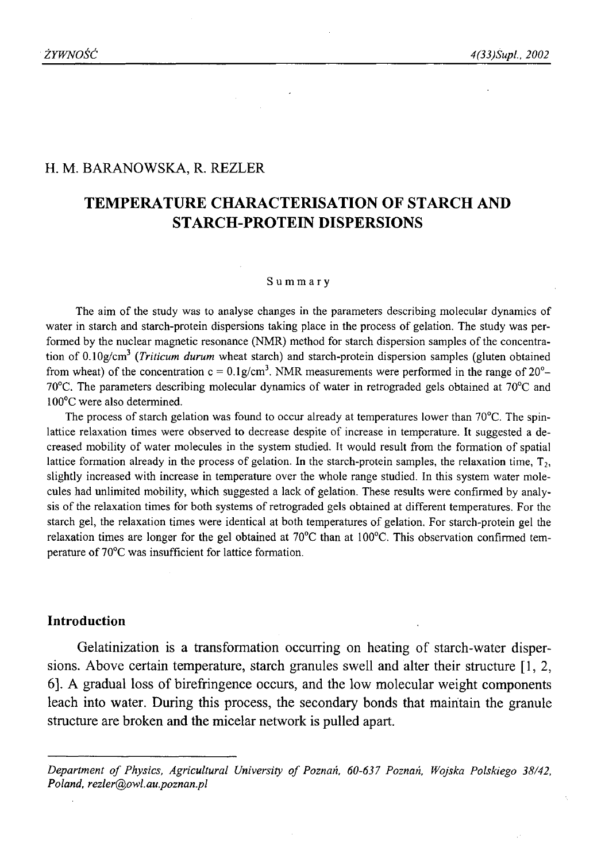### H. M. BARANOWSKA, R. REZLER

# **TEMPERATURE CHARACTERISATION OF STARCH AND STARCH-PROTEIN DISPERSIONS**

#### Summary

The aim of the study was to analyse changes in the parameters describing molecular dynamics of water in starch and starch-protein dispersions taking place in the process of gelation. The study was performed by the nuclear magnetic resonance (NMR) method for starch dispersion samples of the concentration of 0.10g/cm3 (*Triticum durum* wheat starch) and starch-protein dispersion samples (gluten obtained from wheat) of the concentration  $c = 0.1g/cm^3$ . NMR measurements were performed in the range of 20<sup>o</sup>- $70^{\circ}$ C. The parameters describing molecular dynamics of water in retrograded gels obtained at  $70^{\circ}$ C and 100°C were also determined.

The process of starch gelation was found to occur already at temperatures lower than 70<sup>o</sup>C. The spinlattice relaxation times were observed to decrease despite of increase in temperature. It suggested a decreased mobility of water molecules in the system studied. It would result from the formation of spatial lattice formation already in the process of gelation. In the starch-protein samples, the relaxation time,  $T<sub>2</sub>$ , slightly increased with increase in temperature over the whole range studied. In this system water molecules had unlimited mobility, which suggested a lack of gelation. These results were confirmed by analysis of the relaxation times for both systems of retrograded gels obtained at different temperatures. For the starch gel, the relaxation times were identical at both temperatures of gelation. For starch-protein gel the relaxation times are longer for the gel obtained at  $70^{\circ}$ C than at 100 $^{\circ}$ C. This observation confirmed temperature of 70°C was insufficient for lattice formation.

## **Introduction**

Gelatinization is a transformation occurring on heating of starch-water dispersions. Above certain temperature, starch granules swell and alter their structure [1,2, 6]. A gradual loss of birefringence occurs, and the low molecular weight components leach into water. During this process, the secondary bonds that maintain the granule structure are broken and the micelar network is pulled apart.

Department of Physics, Agricultural University of Poznań, 60-637 Poznań, Wojska Polskiego 38/42, *Poland, [rezler@owl.au.poznan.pl](mailto:rezler@owl.au.poznan.pl)*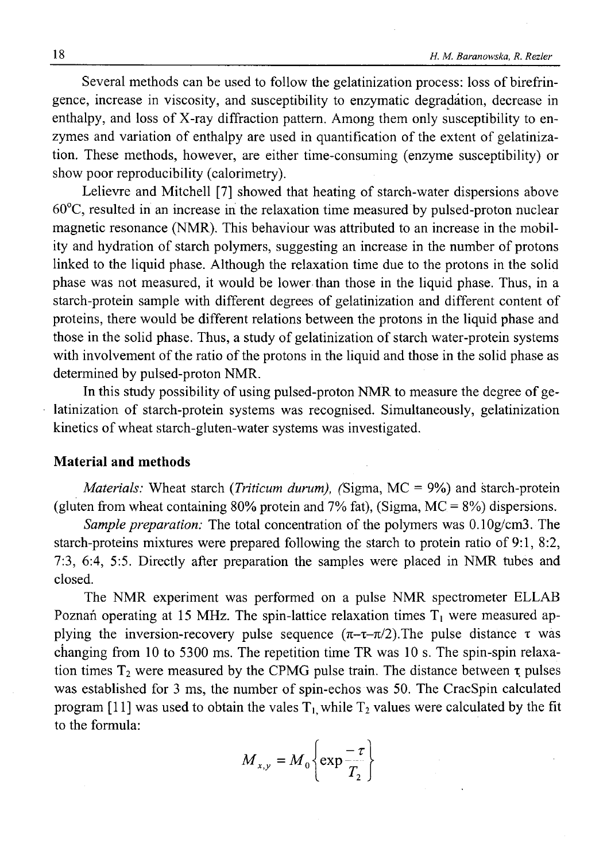Several methods can be used to follow the gelatinization process: loss of birefringence, increase in viscosity, and susceptibility to enzymatic degradation, decrease in enthalpy, and loss of X-ray diffraction pattern. Among them only susceptibility to enzymes and variation of enthalpy are used in quantification of the extent of gelatinization. These methods, however, are either time-consuming (enzyme susceptibility) or show poor reproducibility (calorimetry).

Lelievre and Mitchell [7] showed that heating of starch-water dispersions above 60°C, resulted in an increase in the relaxation time measured by pulsed-proton nuclear magnetic resonance (NMR). This behaviour was attributed to an increase in the mobility and hydration of starch polymers, suggesting an increase in the number of protons linked to the liquid phase. Although the relaxation time due to the protons in the solid phase was not measured, it would be lower than those in the liquid phase. Thus, in a starch-protein sample with different degrees of gelatinization and different content of proteins, there would be different relations between the protons in the liquid phase and those in the solid phase. Thus, a study of gelatinization of starch water-protein systems with involvement of the ratio of the protons in the liquid and those in the solid phase as determined by pulsed-proton NMR.

In this study possibility of using pulsed-proton NMR to measure the degree of gelatinization of starch-protein systems was recognised. Simultaneously, gelatinization kinetics of wheat starch-gluten-water systems was investigated.

#### **Material and methods**

*Materials:* Wheat starch *(Triticum durum)*, *(Sigma, MC = 9%)* and starch-protein (gluten from wheat containing 80% protein and 7% fat), (Sigma,  $MC = 8\%$ ) dispersions.

*Sample preparation:* The total concentration of the polymers was 0.10g/cm3. The starch-proteins mixtures were prepared following the starch to protein ratio of 9:1, 8:2, 7:3, 6:4, 5:5. Directly after preparation the samples were placed in NMR tubes and closed.

The NMR experiment was performed on a pulse NMR spectrometer ELLAB Poznań operating at 15 MHz. The spin-lattice relaxation times  $T_1$  were measured applying the inversion-recovery pulse sequence  $(\pi-\tau-\pi/2)$ . The pulse distance  $\tau$  was changing from 10 to 5300 ms. The repetition time TR was 10 s. The spin-spin relaxation times  $T_2$  were measured by the CPMG pulse train. The distance between  $\tau$  pulses was established for 3 ms, the number of spin-echos was 50. The CracSpin calculated program [11] was used to obtain the vales  $T_1$ , while  $T_2$  values were calculated by the fit to the formula:

$$
M_{x,y} = M_0 \left\{ \exp \frac{-\tau}{T_2} \right\}
$$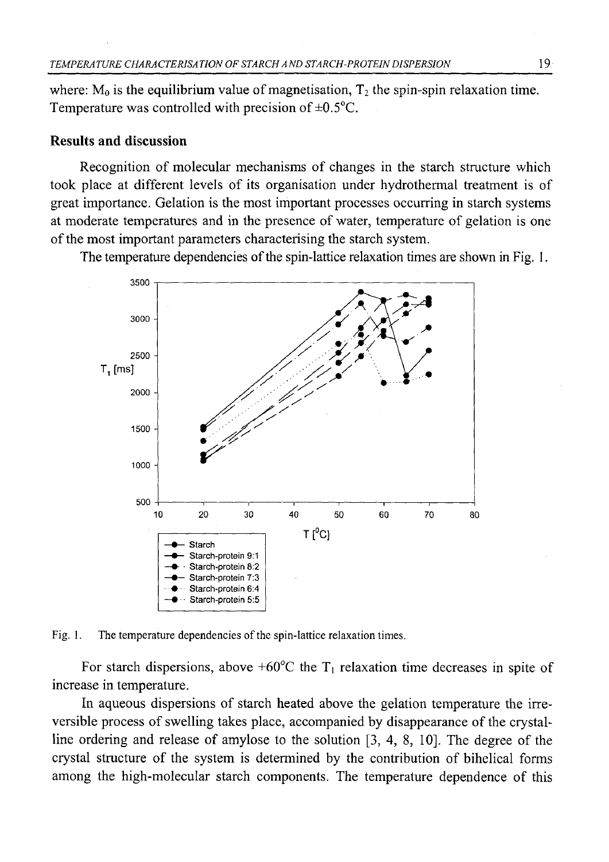where:  $M_0$  is the equilibrium value of magnetisation,  $T_2$  the spin-spin relaxation time. Temperature was controlled with precision of  $\pm 0.5^{\circ}$ C.

### **Results and discussion**

Recognition of molecular mechanisms of changes in the starch structure which took place at different levels of its organisation under hydrothermal treatment is of great importance. Gelation is the most important processes occurring in starch systems at moderate temperatures and in the presence of water, temperature of gelation is one of the most important parameters characterising the starch system.

The temperature dependencies of the spin-lattice relaxation times are shown in Fig. 1.



Fig. 1. The temperature dependencies of the spin-lattice relaxation times.

For starch dispersions, above +60 $^{\circ}$ C the T<sub>1</sub> relaxation time decreases in spite of increase in temperature.

In aqueous dispersions of starch heated above the gelation temperature the irreversible process of swelling takes place, accompanied by disappearance of the crystalline ordering and release of amylose to the solution [3, 4, 8, 10]. The degree of the crystal structure of the system is determined by the contribution of bihelical forms among the high-molecular starch components. The temperature dependence of this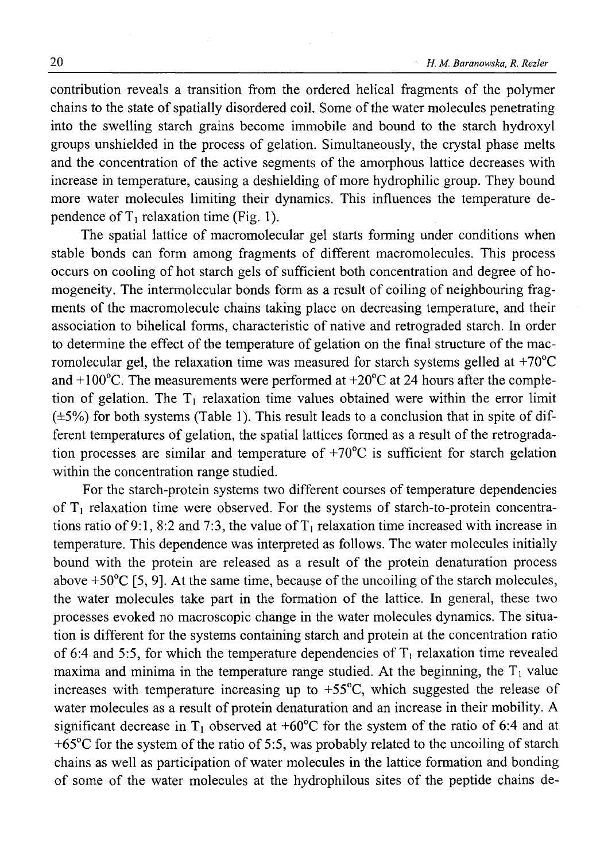contribution reveals a transition from the ordered helical fragments of the polymer chains to the state of spatially disordered coil. Some of the water molecules penetrating into the swelling starch grains become immobile and bound to the starch hydroxyl groups unshielded in the process of gelation. Simultaneously, the crystal phase melts and the concentration of the active segments of the amorphous lattice decreases with increase in temperature, causing a deshielding of more hydrophilic group. They bound more water molecules limiting their dynamics. This influences the temperature dependence of  $T_1$  relaxation time (Fig. 1).

The spatial lattice of macromolecular gel starts forming under conditions when stable bonds can form among fragments of different macromolecules. This process occurs on cooling of hot starch gels of sufficient both concentration and degree of homogeneity. The intermolecular bonds form as a result of coiling of neighbouring fragments of the macromolecule chains taking place on decreasing temperature, and their association to bihelical forms, characteristic of native and retrograded starch. In order to determine the effect of the temperature of gelation on the final structure of the macromolecular gel, the relaxation time was measured for starch systems gelled at  $+70^{\circ}$ C and  $+100^{\circ}$ C. The measurements were performed at  $+20^{\circ}$ C at 24 hours after the completion of gelation. The  $T_1$  relaxation time values obtained were within the error limit  $(\pm 5\%)$  for both systems (Table 1). This result leads to a conclusion that in spite of different temperatures of gelation, the spatial lattices formed as a result of the retrogradation processes are similar and temperature of +70°C is sufficient for starch gelation within the concentration range studied.

For the starch-protein systems two different courses of temperature dependencies of  $T_1$  relaxation time were observed. For the systems of starch-to-protein concentrations ratio of 9:1, 8:2 and 7:3, the value of  $T_1$  relaxation time increased with increase in temperature. This dependence was interpreted as follows. The water molecules initially bound with the protein are released as a result of the protein denaturation process above +50°C [5, 9]. At the same time, because of the uncoiling of the starch molecules, the water molecules take part in the formation of the lattice. In general, these two processes evoked no macroscopic change in the water molecules dynamics. The situation is different for the systems containing starch and protein at the concentration ratio of 6:4 and 5:5, for which the temperature dependencies of  $T_1$  relaxation time revealed maxima and minima in the temperature range studied. At the beginning, the  $T_1$  value increases with temperature increasing up to  $+55^{\circ}$ C, which suggested the release of water molecules as a result of protein denaturation and an increase in their mobility. A significant decrease in  $T_1$  observed at +60°C for the system of the ratio of 6:4 and at  $+65^{\circ}$ C for the system of the ratio of 5:5, was probably related to the uncoiling of starch chains as well as participation of water molecules in the lattice formation and bonding of some of the water molecules at the hydrophilous sites of the peptide chains de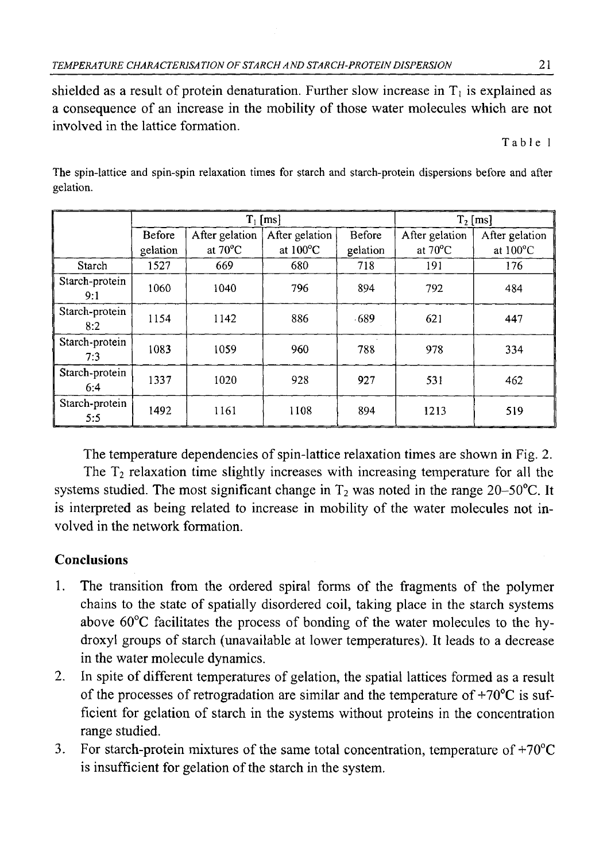shielded as a result of protein denaturation. Further slow increase in  $T_1$  is explained as a consequence of an increase in the mobility of those water molecules which are not involved in the lattice formation.

Table 1

|                       | $T_1$ [ms] |                   |                    |               | $T2$ [ms]         |                    |
|-----------------------|------------|-------------------|--------------------|---------------|-------------------|--------------------|
|                       | Before     | After gelation    | After gelation     | <b>Before</b> | After gelation    | After gelation     |
|                       | gelation   | at $70^{\circ}$ C | at $100^{\circ}$ C | gelation      | at $70^{\circ}$ C | at $100^{\circ}$ C |
| Starch                | 1527       | 669               | 680                | 718           | 191               | 176                |
| Starch-protein<br>9:1 | 1060       | 1040              | 796                | 894           | 792               | 484                |
| Starch-protein<br>8:2 | 1154       | 1142              | 886                | $-689$        | 621               | 447                |
| Starch-protein<br>7:3 | 1083       | 1059              | 960                | 788           | 978               | 334                |
| Starch-protein<br>6:4 | 1337       | 1020              | 928                | 927           | 531               | 462                |
| Starch-protein<br>5:5 | 1492       | 1161              | 1108               | 894           | 1213              | 519                |

The spin-lattice and spin-spin relaxation times for starch and starch-protein dispersions before and after gelation.

The temperature dependencies of spin-lattice relaxation times are shown in Fig. 2. The  $T_2$  relaxation time slightly increases with increasing temperature for all the systems studied. The most significant change in  $T_2$  was noted in the range 20–50°C. It is interpreted as being related to increase in mobility of the water molecules not involved in the network formation.

# **Conclusions**

- 1. The transition from the ordered spiral forms of the fragments of the polymer chains to the state of spatially disordered coil, taking place in the starch systems above 60°C facilitates the process of bonding of the water molecules to the hydroxyl groups of starch (unavailable at lower temperatures). It leads to a decrease in the water molecule dynamics.
- 2. In spite of different temperatures of gelation, the spatial lattices formed as a result of the processes of retrogradation are similar and the temperature of  $+70^{\circ}$ C is sufficient for gelation of starch in the systems without proteins in the concentration range studied.
- 3. For starch-protein mixtures of the same total concentration, temperature of  $+70^{\circ}$ C is insufficient for gelation of the starch in the system.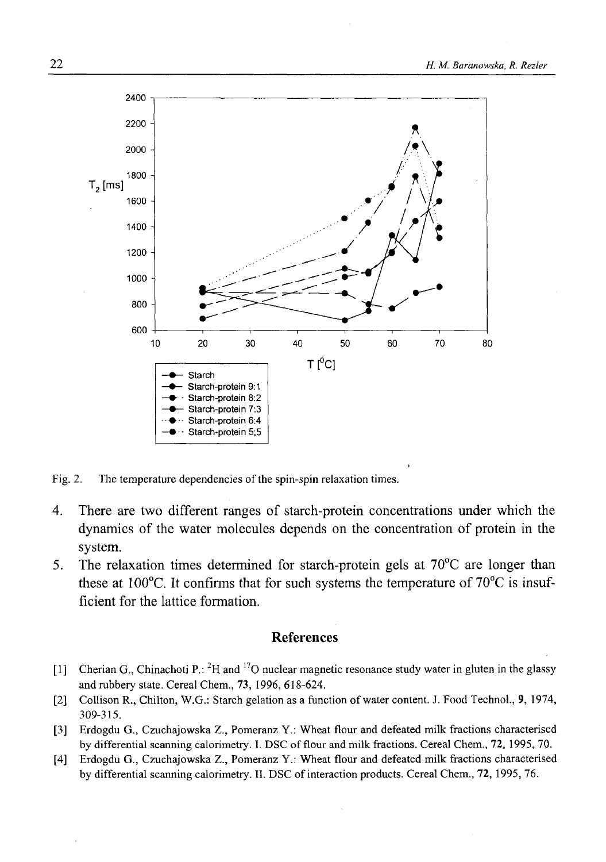

Fig. 2. The temperature dependencies of the spin-spin relaxation times.

- 4. There are two different ranges of starch-protein concentrations under which the dynamics of the water molecules depends on the concentration of protein in the system.
- 5. The relaxation times determined for starch-protein gels at 70°C are longer than these at 100°C. It confirms that for such systems the temperature of 70°C is insufficient for the lattice formation.

## **References**

- [1] Cherian G., Chinachoti P.: <sup>2</sup>H and <sup>17</sup>O nuclear magnetic resonance study water in gluten in the glassy and rubbery state. Cereal Chem., 73, 1996, 618-624.
- [2] Collison R., Chilton, W.G.: Starch gelation as a function of water content. J. Food Technol., **9,** 1974, 309-315.
- [3] Erdogdu G., Czuchajowska Z., Pomeranz Y.: Wheat flour and defeated milk fractions characterised by differential scanning calorimetry. I. DSC of flour and milk fractions. Cereal Chem., 72, 1995, 70.
- [4] Erdogdu G., Czuchajowska Z., Pomeranz Y.: Wheat flour and defeated milk fractions characterised by differential scanning calorimetry. II. DSC of interaction products. Cereal Chem., 72, 1995, 76.